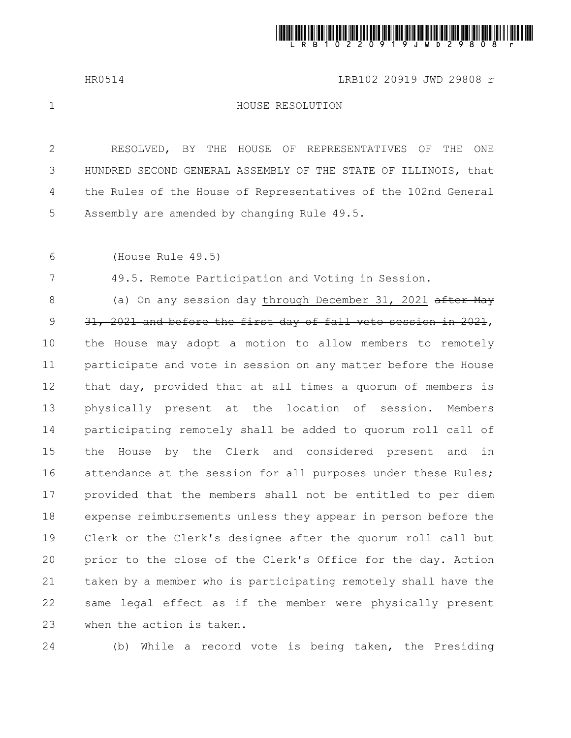

HR0514 LRB102 20919 JWD 29808 r

1

HOUSE RESOLUTION

RESOLVED, BY THE HOUSE OF REPRESENTATIVES OF THE ONE HUNDRED SECOND GENERAL ASSEMBLY OF THE STATE OF ILLINOIS, that the Rules of the House of Representatives of the 102nd General Assembly are amended by changing Rule 49.5. 2 3 4 5

(House Rule 49.5) 6

7

49.5. Remote Participation and Voting in Session.

(a) On any session day through December 31, 2021 after May 31, 2021 and before the first day of fall veto session in 2021, the House may adopt a motion to allow members to remotely participate and vote in session on any matter before the House that day, provided that at all times a quorum of members is physically present at the location of session. Members participating remotely shall be added to quorum roll call of the House by the Clerk and considered present and in attendance at the session for all purposes under these Rules; provided that the members shall not be entitled to per diem expense reimbursements unless they appear in person before the Clerk or the Clerk's designee after the quorum roll call but prior to the close of the Clerk's Office for the day. Action taken by a member who is participating remotely shall have the same legal effect as if the member were physically present when the action is taken. 8 9 10 11 12 13 14 15 16 17 18 19 20 21 22 23

24

(b) While a record vote is being taken, the Presiding